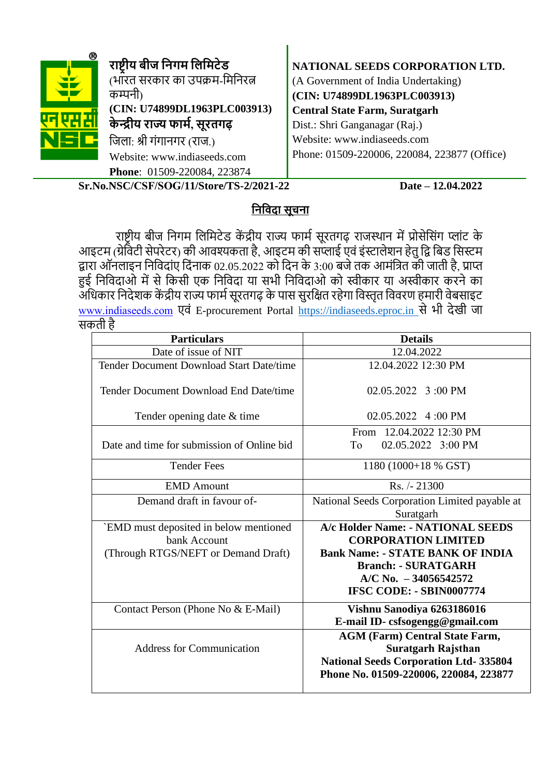| ® | राष्ट्रीय बीज निगम लिमिटेड<br>(भारत सरकार का उपक्रम-मिनिरत्न<br>कम्पनी<br>(CIN: U74899DL1963PLC003913)<br>केन्द्रीय राज्य फार्म, सूरतगढ़<br>जिला: श्री गंगानगर (राज.) | NATIONAL SEEDS CORPORATION LTD.<br>(A Government of India Undertaking)<br>(CIN: U74899DL1963PLC003913)<br><b>Central State Farm, Suratgarh</b><br>Dist.: Shri Ganganagar (Raj.)<br>Website: www.indiaseeds.com |
|---|-----------------------------------------------------------------------------------------------------------------------------------------------------------------------|----------------------------------------------------------------------------------------------------------------------------------------------------------------------------------------------------------------|
|   | Website: www.indiaseeds.com<br>Phone: 01509-220084, 223874                                                                                                            | Phone: 01509-220006, 220084, 223877 (Office)                                                                                                                                                                   |

**Sr.No.NSC/CSF/SOG/11/Store/TS-2/2021-22 Date – 12.04.2022** 

# **निनिदा सूचिा**

राष्ट्रीय बीज निगम लिमिटेड केंद्रीय राज्य फार्म सूरतगढ़ राजस्थान में प्रोसेसिंग प्लांट के आइटम (ग्रेर्विटी सेपरेटर) की आवश्यकता है, आइटम की सप्लाई एवं इंस्टालेशन हेतु द्वि बिड सिस्टम िारा ऑििाइि निनिदािंए नदिंिाक 02.05.2022 को नदि के 3:00 बजेतक आमिंनित की जाती है, प्राप्त हुई निविदाओं में से किसी एक निविदा या सभी निविदाओ को स्वीकार या अस्वीकार करने का ँ अधिकार निदेशक केंद्रीय राज्य फार्म सूरतगढ़ के पास सुरक्षित रहेगा विस्तृत विवरण हमारी वेबसाइट [www.indiaseeds.com](http://www.indiaseeds.com/) एििं E-procurement Portal [https://indiaseeds.eproc.in](https://indiaseeds.eproc.in/) सेभी देखी जा सकती है

| <b>Particulars</b>                         | <b>Details</b>                                                                                                                                               |  |  |  |
|--------------------------------------------|--------------------------------------------------------------------------------------------------------------------------------------------------------------|--|--|--|
| Date of issue of NIT                       | 12.04.2022                                                                                                                                                   |  |  |  |
| Tender Document Download Start Date/time   | 12.04.2022 12:30 PM                                                                                                                                          |  |  |  |
| Tender Document Download End Date/time     | 02.05.2022 3:00 PM                                                                                                                                           |  |  |  |
| Tender opening date & time                 | 02.05.2022 4:00 PM                                                                                                                                           |  |  |  |
|                                            | From 12.04.2022 12:30 PM                                                                                                                                     |  |  |  |
| Date and time for submission of Online bid | To<br>02.05.2022 3:00 PM                                                                                                                                     |  |  |  |
| <b>Tender Fees</b>                         | 1180 (1000+18 % GST)                                                                                                                                         |  |  |  |
| <b>EMD</b> Amount                          | Rs. /-21300                                                                                                                                                  |  |  |  |
| Demand draft in favour of-                 | National Seeds Corporation Limited payable at                                                                                                                |  |  |  |
|                                            | Suratgarh                                                                                                                                                    |  |  |  |
| `EMD must deposited in below mentioned     | A/c Holder Name: - NATIONAL SEEDS                                                                                                                            |  |  |  |
| bank Account                               | <b>CORPORATION LIMITED</b>                                                                                                                                   |  |  |  |
| (Through RTGS/NEFT or Demand Draft)        | <b>Bank Name: - STATE BANK OF INDIA</b>                                                                                                                      |  |  |  |
|                                            | <b>Branch: - SURATGARH</b>                                                                                                                                   |  |  |  |
|                                            | $A/C$ No. $-34056542572$                                                                                                                                     |  |  |  |
|                                            | IFSC CODE: - SBIN0007774                                                                                                                                     |  |  |  |
| Contact Person (Phone No & E-Mail)         | Vishnu Sanodiya 6263186016<br>E-mail ID-csfsogengg@gmail.com                                                                                                 |  |  |  |
| <b>Address for Communication</b>           | <b>AGM (Farm) Central State Farm,</b><br><b>Suratgarh Rajsthan</b><br><b>National Seeds Corporation Ltd-335804</b><br>Phone No. 01509-220006, 220084, 223877 |  |  |  |
|                                            |                                                                                                                                                              |  |  |  |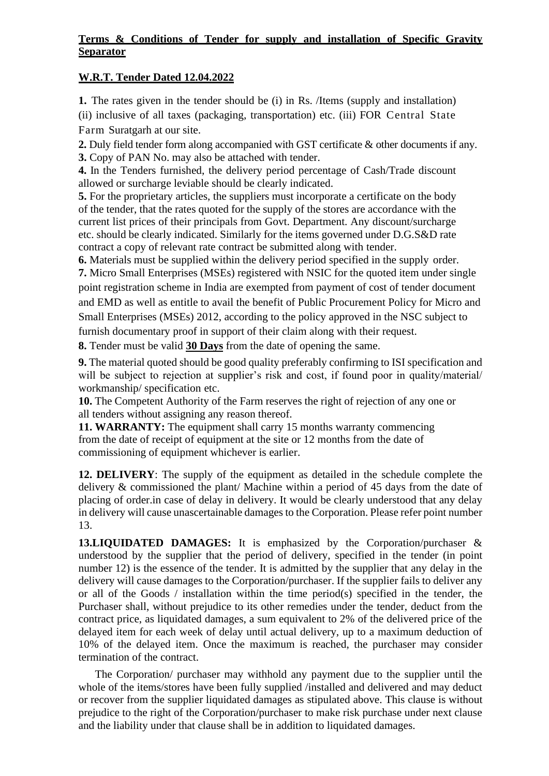### **Terms & Conditions of Tender for supply and installation of Specific Gravity Separator**

### **W.R.T. Tender Dated 12.04.2022**

**1.** The rates given in the tender should be (i) in Rs. /Items (supply and installation) (ii) inclusive of all taxes (packaging, transportation) etc. (iii) FOR Central State Farm Suratgarh at our site.

**2.** Duly field tender form along accompanied with GST certificate & other documents if any. **3.** Copy of PAN No. may also be attached with tender.

**4.** In the Tenders furnished, the delivery period percentage of Cash/Trade discount allowed or surcharge leviable should be clearly indicated.

**5.** For the proprietary articles, the suppliers must incorporate a certificate on the body of the tender, that the rates quoted for the supply of the stores are accordance with the current list prices of their principals from Govt. Department. Any discount/surcharge etc. should be clearly indicated. Similarly for the items governed under D.G.S&D rate contract a copy of relevant rate contract be submitted along with tender.

**6.** Materials must be supplied within the delivery period specified in the supply order. **7.** Micro Small Enterprises (MSEs) registered with NSIC for the quoted item under single point registration scheme in India are exempted from payment of cost of tender document and EMD as well as entitle to avail the benefit of Public Procurement Policy for Micro and Small Enterprises (MSEs) 2012, according to the policy approved in the NSC subject to furnish documentary proof in support of their claim along with their request.

**8.** Tender must be valid **30 Days** from the date of opening the same.

**9.** The material quoted should be good quality preferably confirming to ISI specification and will be subject to rejection at supplier's risk and cost, if found poor in quality/material/ workmanship/ specification etc.

**10.** The Competent Authority of the Farm reserves the right of rejection of any one or all tenders without assigning any reason thereof.

**11. WARRANTY:** The equipment shall carry 15 months warranty commencing from the date of receipt of equipment at the site or 12 months from the date of commissioning of equipment whichever is earlier.

**12. DELIVERY**: The supply of the equipment as detailed in the schedule complete the delivery & commissioned the plant/ Machine within a period of 45 days from the date of placing of order.in case of delay in delivery. It would be clearly understood that any delay in delivery will cause unascertainable damages to the Corporation. Please refer point number 13.

**13.LIQUIDATED DAMAGES:** It is emphasized by the Corporation/purchaser & understood by the supplier that the period of delivery, specified in the tender (in point number 12) is the essence of the tender. It is admitted by the supplier that any delay in the delivery will cause damages to the Corporation/purchaser. If the supplier fails to deliver any or all of the Goods / installation within the time period(s) specified in the tender, the Purchaser shall, without prejudice to its other remedies under the tender, deduct from the contract price, as liquidated damages, a sum equivalent to 2% of the delivered price of the delayed item for each week of delay until actual delivery, up to a maximum deduction of 10% of the delayed item. Once the maximum is reached, the purchaser may consider termination of the contract.

The Corporation/ purchaser may withhold any payment due to the supplier until the whole of the items/stores have been fully supplied /installed and delivered and may deduct or recover from the supplier liquidated damages as stipulated above. This clause is without prejudice to the right of the Corporation/purchaser to make risk purchase under next clause and the liability under that clause shall be in addition to liquidated damages.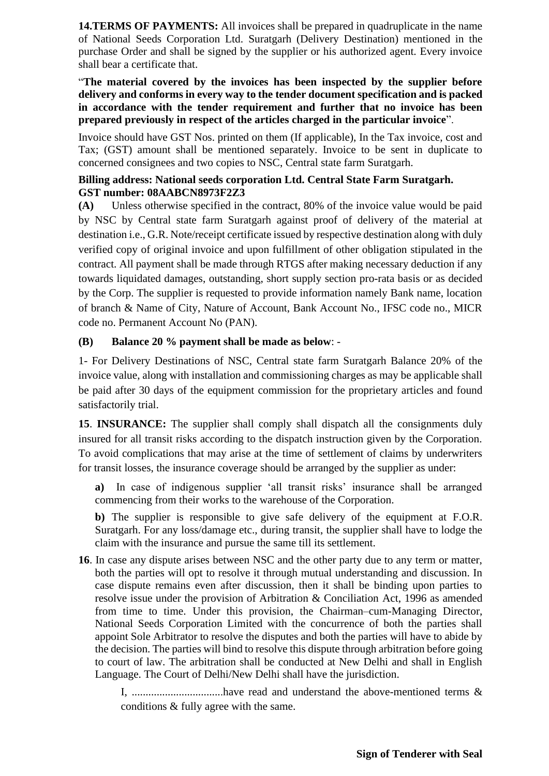**14.TERMS OF PAYMENTS:** All invoices shall be prepared in quadruplicate in the name of National Seeds Corporation Ltd. Suratgarh (Delivery Destination) mentioned in the purchase Order and shall be signed by the supplier or his authorized agent. Every invoice shall bear a certificate that.

### "**The material covered by the invoices has been inspected by the supplier before delivery and conforms in every way to the tender document specification and is packed in accordance with the tender requirement and further that no invoice has been prepared previously in respect of the articles charged in the particular invoice**".

Invoice should have GST Nos. printed on them (If applicable), In the Tax invoice, cost and Tax; (GST) amount shall be mentioned separately. Invoice to be sent in duplicate to concerned consignees and two copies to NSC, Central state farm Suratgarh.

### **Billing address: National seeds corporation Ltd. Central State Farm Suratgarh. GST number: 08AABCN8973F2Z3**

**(A)** Unless otherwise specified in the contract, 80% of the invoice value would be paid by NSC by Central state farm Suratgarh against proof of delivery of the material at destination i.e., G.R. Note/receipt certificate issued by respective destination along with duly verified copy of original invoice and upon fulfillment of other obligation stipulated in the contract. All payment shall be made through RTGS after making necessary deduction if any towards liquidated damages, outstanding, short supply section pro-rata basis or as decided by the Corp. The supplier is requested to provide information namely Bank name, location of branch & Name of City, Nature of Account, Bank Account No., IFSC code no., MICR code no. Permanent Account No (PAN).

# **(B) Balance 20 % payment shall be made as below**: -

1- For Delivery Destinations of NSC, Central state farm Suratgarh Balance 20% of the invoice value, along with installation and commissioning charges as may be applicable shall be paid after 30 days of the equipment commission for the proprietary articles and found satisfactorily trial.

**15. <b>INSURANCE:** The supplier shall comply shall dispatch all the consignments duly insured for all transit risks according to the dispatch instruction given by the Corporation. To avoid complications that may arise at the time of settlement of claims by underwriters for transit losses, the insurance coverage should be arranged by the supplier as under:

**a)** In case of indigenous supplier 'all transit risks' insurance shall be arranged commencing from their works to the warehouse of the Corporation.

**b)** The supplier is responsible to give safe delivery of the equipment at F.O.R. Suratgarh. For any loss/damage etc., during transit, the supplier shall have to lodge the claim with the insurance and pursue the same till its settlement.

**16**. In case any dispute arises between NSC and the other party due to any term or matter, both the parties will opt to resolve it through mutual understanding and discussion. In case dispute remains even after discussion, then it shall be binding upon parties to resolve issue under the provision of Arbitration & Conciliation Act, 1996 as amended from time to time. Under this provision, the Chairman–cum-Managing Director, National Seeds Corporation Limited with the concurrence of both the parties shall appoint Sole Arbitrator to resolve the disputes and both the parties will have to abide by the decision. The parties will bind to resolve this dispute through arbitration before going to court of law. The arbitration shall be conducted at New Delhi and shall in English Language. The Court of Delhi/New Delhi shall have the jurisdiction.

I, .................................have read and understand the above-mentioned terms & conditions & fully agree with the same.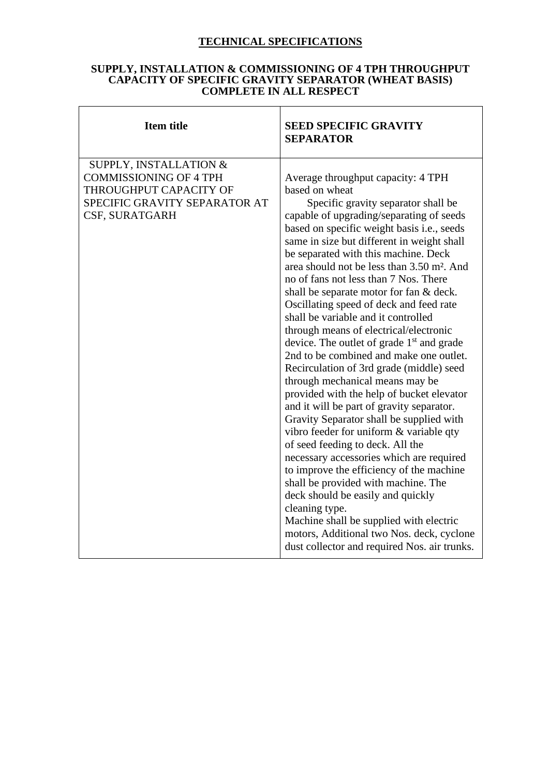# **TECHNICAL SPECIFICATIONS**

#### **SUPPLY, INSTALLATION & COMMISSIONING OF 4 TPH THROUGHPUT CAPACITY OF SPECIFIC GRAVITY SEPARATOR (WHEAT BASIS) COMPLETE IN ALL RESPECT**

 $\mathbf{r}$ 

| <b>Item title</b>                                                                                                                    | <b>SEED SPECIFIC GRAVITY</b><br><b>SEPARATOR</b>                                                                                                                                                                                                                                                                                                                                                                                                                                                                                                                                                                                                                                                                                                                                                                                                                                                                                                                                                                                                                                                                                                                                                                                                                                            |
|--------------------------------------------------------------------------------------------------------------------------------------|---------------------------------------------------------------------------------------------------------------------------------------------------------------------------------------------------------------------------------------------------------------------------------------------------------------------------------------------------------------------------------------------------------------------------------------------------------------------------------------------------------------------------------------------------------------------------------------------------------------------------------------------------------------------------------------------------------------------------------------------------------------------------------------------------------------------------------------------------------------------------------------------------------------------------------------------------------------------------------------------------------------------------------------------------------------------------------------------------------------------------------------------------------------------------------------------------------------------------------------------------------------------------------------------|
| SUPPLY, INSTALLATION &<br><b>COMMISSIONING OF 4 TPH</b><br>THROUGHPUT CAPACITY OF<br>SPECIFIC GRAVITY SEPARATOR AT<br>CSF, SURATGARH | Average throughput capacity: 4 TPH<br>based on wheat<br>Specific gravity separator shall be<br>capable of upgrading/separating of seeds<br>based on specific weight basis i.e., seeds<br>same in size but different in weight shall<br>be separated with this machine. Deck<br>area should not be less than 3.50 m <sup>2</sup> . And<br>no of fans not less than 7 Nos. There<br>shall be separate motor for fan & deck.<br>Oscillating speed of deck and feed rate<br>shall be variable and it controlled<br>through means of electrical/electronic<br>device. The outlet of grade 1 <sup>st</sup> and grade<br>2nd to be combined and make one outlet.<br>Recirculation of 3rd grade (middle) seed<br>through mechanical means may be<br>provided with the help of bucket elevator<br>and it will be part of gravity separator.<br>Gravity Separator shall be supplied with<br>vibro feeder for uniform & variable qty<br>of seed feeding to deck. All the<br>necessary accessories which are required<br>to improve the efficiency of the machine<br>shall be provided with machine. The<br>deck should be easily and quickly<br>cleaning type.<br>Machine shall be supplied with electric<br>motors, Additional two Nos. deck, cyclone<br>dust collector and required Nos. air trunks. |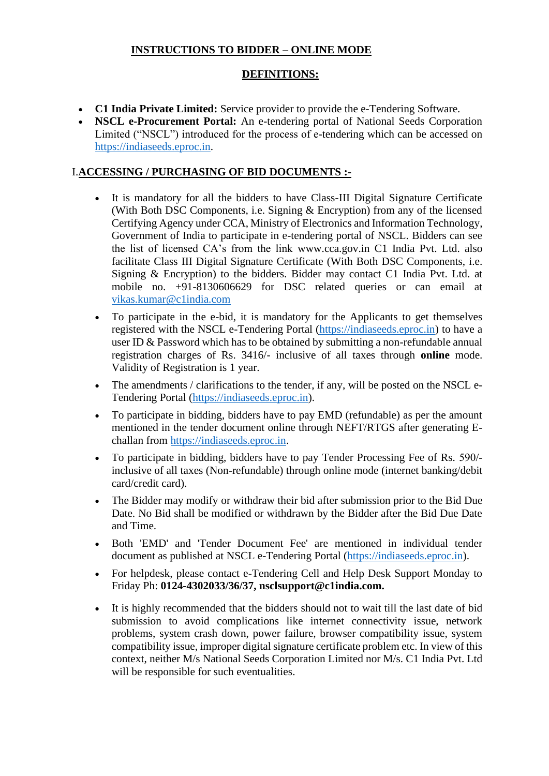## **INSTRUCTIONS TO BIDDER – ONLINE MODE**

# **DEFINITIONS:**

- **C1 India Private Limited:** Service provider to provide the e-Tendering Software.
- **NSCL e-Procurement Portal:** An e-tendering portal of National Seeds Corporation Limited ("NSCL") introduced for the process of e-tendering which can be accessed on [https://indiaseeds.eproc.in.](https://indiaseeds.eproc.in/)

### I.**ACCESSING / PURCHASING OF BID DOCUMENTS :-**

- It is mandatory for all the bidders to have Class-III Digital Signature Certificate (With Both DSC Components, i.e. Signing & Encryption) from any of the licensed Certifying Agency under CCA, Ministry of Electronics and Information Technology, Government of India to participate in e-tendering portal of NSCL. Bidders can see the list of licensed CA's from the link www.cca.gov.in C1 India Pvt. Ltd. also facilitate Class III Digital Signature Certificate (With Both DSC Components, i.e. Signing & Encryption) to the bidders. Bidder may contact C1 India Pvt. Ltd. at mobile no. +91-8130606629 for DSC related queries or can email at vikas.kumar@c1india.com
- To participate in the e-bid, it is mandatory for the Applicants to get themselves registered with the NSCL e-Tendering Portal [\(https://indiaseeds.eproc.in\)](https://indiaseeds.eproc.in/) to have a user ID & Password which has to be obtained by submitting a non-refundable annual registration charges of Rs. 3416/- inclusive of all taxes through **online** mode. Validity of Registration is 1 year.
- The amendments / clarifications to the tender, if any, will be posted on the NSCL e-Tendering Portal [\(https://indiaseeds.eproc.in\)](https://indiaseeds.eproc.in/).
- To participate in bidding, bidders have to pay EMD (refundable) as per the amount mentioned in the tender document online through NEFT/RTGS after generating Echallan from [https://indiaseeds.eproc.in.](https://indiaseeds.eproc.in/)
- To participate in bidding, bidders have to pay Tender Processing Fee of Rs. 590/ inclusive of all taxes (Non-refundable) through online mode (internet banking/debit card/credit card).
- The Bidder may modify or withdraw their bid after submission prior to the Bid Due Date. No Bid shall be modified or withdrawn by the Bidder after the Bid Due Date and Time.
- Both 'EMD' and 'Tender Document Fee' are mentioned in individual tender document as published at NSCL e-Tendering Portal [\(https://indiaseeds.eproc.in\)](https://indiaseeds.eproc.in/).
- For helpdesk, please contact e-Tendering Cell and Help Desk Support Monday to Friday Ph: **0124-4302033/36/37, nsclsupport@c1india.com.**
- It is highly recommended that the bidders should not to wait till the last date of bid submission to avoid complications like internet connectivity issue, network problems, system crash down, power failure, browser compatibility issue, system compatibility issue, improper digital signature certificate problem etc. In view of this context, neither M/s National Seeds Corporation Limited nor M/s. C1 India Pvt. Ltd will be responsible for such eventualities.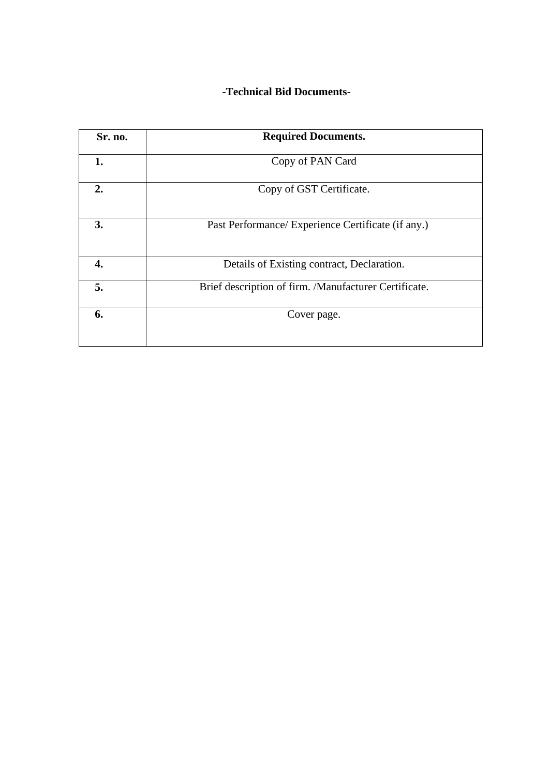# **-Technical Bid Documents-**

| Sr. no. | <b>Required Documents.</b>                            |  |  |  |
|---------|-------------------------------------------------------|--|--|--|
| 1.      | Copy of PAN Card                                      |  |  |  |
| 2.      | Copy of GST Certificate.                              |  |  |  |
| 3.      | Past Performance/ Experience Certificate (if any.)    |  |  |  |
| 4.      | Details of Existing contract, Declaration.            |  |  |  |
| 5.      | Brief description of firm. /Manufacturer Certificate. |  |  |  |
| 6.      | Cover page.                                           |  |  |  |